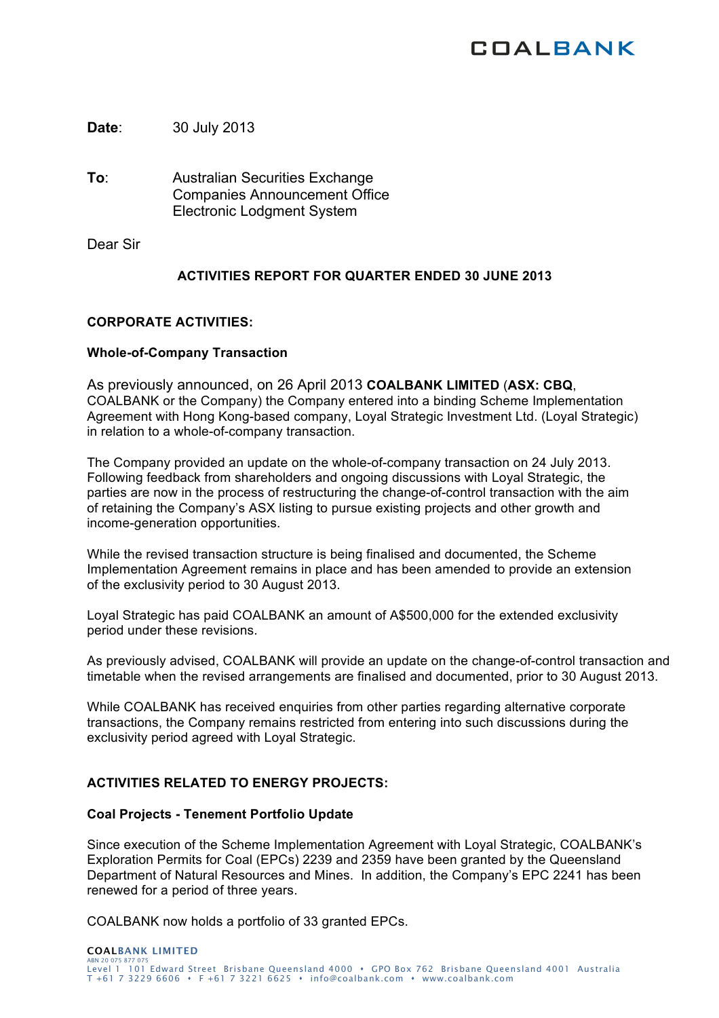# **COALBANK**

**Date**: 30 July 2013

**To**: Australian Securities Exchange Companies Announcement Office Electronic Lodgment System

Dear Sir

## **ACTIVITIES REPORT FOR QUARTER ENDED 30 JUNE 2013**

## **CORPORATE ACTIVITIES:**

### **Whole-of-Company Transaction**

As previously announced, on 26 April 2013 **COALBANK LIMITED** (**ASX: CBQ**, COALBANK or the Company) the Company entered into a binding Scheme Implementation Agreement with Hong Kong-based company, Loyal Strategic Investment Ltd. (Loyal Strategic) in relation to a whole-of-company transaction.

The Company provided an update on the whole-of-company transaction on 24 July 2013. Following feedback from shareholders and ongoing discussions with Loyal Strategic, the parties are now in the process of restructuring the change-of-control transaction with the aim of retaining the Company's ASX listing to pursue existing projects and other growth and income-generation opportunities.

While the revised transaction structure is being finalised and documented, the Scheme Implementation Agreement remains in place and has been amended to provide an extension of the exclusivity period to 30 August 2013.

Loyal Strategic has paid COALBANK an amount of A\$500,000 for the extended exclusivity period under these revisions.

As previously advised, COALBANK will provide an update on the change-of-control transaction and timetable when the revised arrangements are finalised and documented, prior to 30 August 2013.

While COALBANK has received enquiries from other parties regarding alternative corporate transactions, the Company remains restricted from entering into such discussions during the exclusivity period agreed with Loyal Strategic.

## **ACTIVITIES RELATED TO ENERGY PROJECTS:**

### **Coal Projects - Tenement Portfolio Update**

Since execution of the Scheme Implementation Agreement with Loyal Strategic, COALBANK's Exploration Permits for Coal (EPCs) 2239 and 2359 have been granted by the Queensland Department of Natural Resources and Mines. In addition, the Company's EPC 2241 has been renewed for a period of three years.

COALBANK now holds a portfolio of 33 granted EPCs.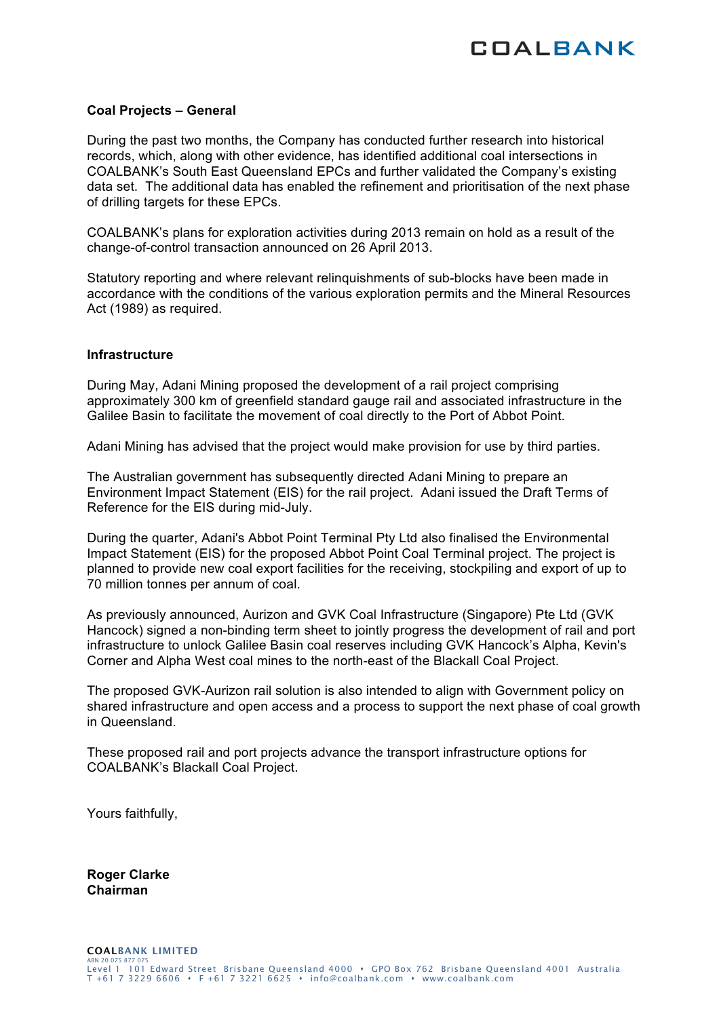

### **Coal Projects – General**

During the past two months, the Company has conducted further research into historical records, which, along with other evidence, has identified additional coal intersections in COALBANK's South East Queensland EPCs and further validated the Company's existing data set. The additional data has enabled the refinement and prioritisation of the next phase of drilling targets for these EPCs.

COALBANK's plans for exploration activities during 2013 remain on hold as a result of the change-of-control transaction announced on 26 April 2013.

Statutory reporting and where relevant relinquishments of sub-blocks have been made in accordance with the conditions of the various exploration permits and the Mineral Resources Act (1989) as required.

#### **Infrastructure**

During May, Adani Mining proposed the development of a rail project comprising approximately 300 km of greenfield standard gauge rail and associated infrastructure in the Galilee Basin to facilitate the movement of coal directly to the Port of Abbot Point.

Adani Mining has advised that the project would make provision for use by third parties.

The Australian government has subsequently directed Adani Mining to prepare an Environment Impact Statement (EIS) for the rail project. Adani issued the Draft Terms of Reference for the EIS during mid-July.

During the quarter, Adani's Abbot Point Terminal Pty Ltd also finalised the Environmental Impact Statement (EIS) for the proposed Abbot Point Coal Terminal project. The project is planned to provide new coal export facilities for the receiving, stockpiling and export of up to 70 million tonnes per annum of coal.

As previously announced, Aurizon and GVK Coal Infrastructure (Singapore) Pte Ltd (GVK Hancock) signed a non-binding term sheet to jointly progress the development of rail and port infrastructure to unlock Galilee Basin coal reserves including GVK Hancock's Alpha, Kevin's Corner and Alpha West coal mines to the north-east of the Blackall Coal Project.

The proposed GVK-Aurizon rail solution is also intended to align with Government policy on shared infrastructure and open access and a process to support the next phase of coal growth in Queensland.

These proposed rail and port projects advance the transport infrastructure options for COALBANK's Blackall Coal Project.

Yours faithfully,

**Roger Clarke Chairman**